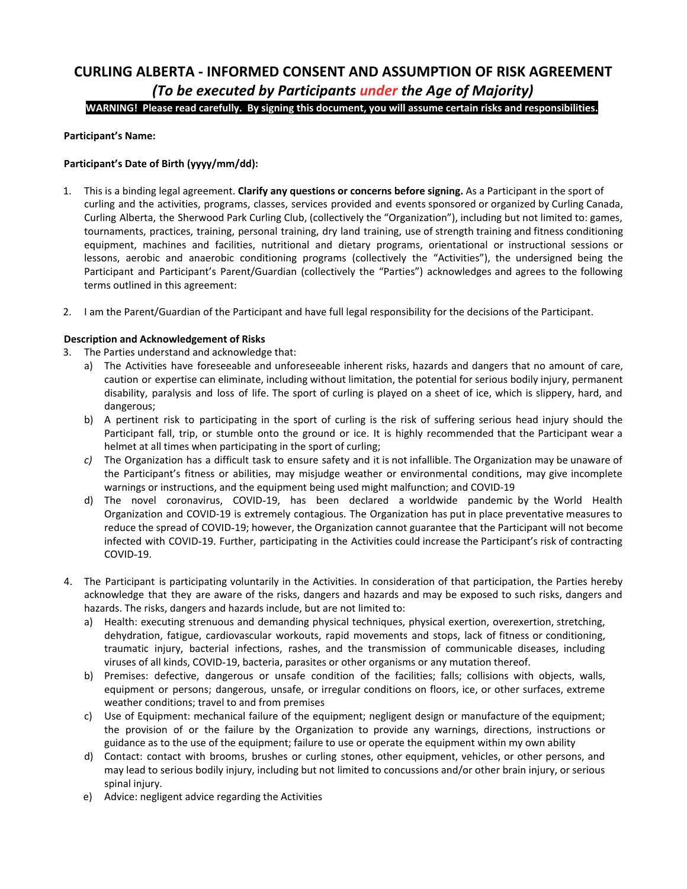# **CURLING ALBERTA - INFORMED CONSENT AND ASSUMPTION OF RISK AGREEMENT** *(To be executed by Participants under the Age of Majority)*

**WARNING! Please read carefully. By signing this document, you will assume certain risks and responsibilities.**

## **Participant's Name:**

## **Participant's Date of Birth (yyyy/mm/dd):**

- 1. This is a binding legal agreement. **Clarify any questions or concerns before signing.** As a Participant in the sport of curling and the activities, programs, classes, services provided and events sponsored or organized by Curling Canada, Curling Alberta, the Sherwood Park Curling Club, (collectively the "Organization"), including but not limited to: games, tournaments, practices, training, personal training, dry land training, use of strength training and fitness conditioning equipment, machines and facilities, nutritional and dietary programs, orientational or instructional sessions or lessons, aerobic and anaerobic conditioning programs (collectively the "Activities"), the undersigned being the Participant and Participant's Parent/Guardian (collectively the "Parties") acknowledges and agrees to the following terms outlined in this agreement:
- 2. I am the Parent/Guardian of the Participant and have full legal responsibility for the decisions of the Participant.

## **Description and Acknowledgement of Risks**

- 3. The Parties understand and acknowledge that:
	- a) The Activities have foreseeable and unforeseeable inherent risks, hazards and dangers that no amount of care, caution or expertise can eliminate, including without limitation, the potential for serious bodily injury, permanent disability, paralysis and loss of life. The sport of curling is played on a sheet of ice, which is slippery, hard, and dangerous;
	- b) A pertinent risk to participating in the sport of curling is the risk of suffering serious head injury should the Participant fall, trip, or stumble onto the ground or ice. It is highly recommended that the Participant wear a helmet at all times when participating in the sport of curling;
	- *c)* The Organization has a difficult task to ensure safety and it is not infallible. The Organization may be unaware of the Participant's fitness or abilities, may misjudge weather or environmental conditions, may give incomplete warnings or instructions, and the equipment being used might malfunction; and COVID-19
	- d) The novel coronavirus, COVID-19, has been declared a worldwide pandemic by the World Health Organization and COVID-19 is extremely contagious. The Organization has put in place preventative measures to reduce the spread of COVID-19; however, the Organization cannot guarantee that the Participant will not become infected with COVID-19. Further, participating in the Activities could increase the Participant's risk of contracting COVID-19.
- 4. The Participant is participating voluntarily in the Activities. In consideration of that participation, the Parties hereby acknowledge that they are aware of the risks, dangers and hazards and may be exposed to such risks, dangers and hazards. The risks, dangers and hazards include, but are not limited to:
	- a) Health: executing strenuous and demanding physical techniques, physical exertion, overexertion, stretching, dehydration, fatigue, cardiovascular workouts, rapid movements and stops, lack of fitness or conditioning, traumatic injury, bacterial infections, rashes, and the transmission of communicable diseases, including viruses of all kinds, COVID-19, bacteria, parasites or other organisms or any mutation thereof.
	- b) Premises: defective, dangerous or unsafe condition of the facilities; falls; collisions with objects, walls, equipment or persons; dangerous, unsafe, or irregular conditions on floors, ice, or other surfaces, extreme weather conditions; travel to and from premises
	- c) Use of Equipment: mechanical failure of the equipment; negligent design or manufacture of the equipment; the provision of or the failure by the Organization to provide any warnings, directions, instructions or guidance as to the use of the equipment; failure to use or operate the equipment within my own ability
	- d) Contact: contact with brooms, brushes or curling stones, other equipment, vehicles, or other persons, and may lead to serious bodily injury, including but not limited to concussions and/or other brain injury, or serious spinal injury.
	- e) Advice: negligent advice regarding the Activities